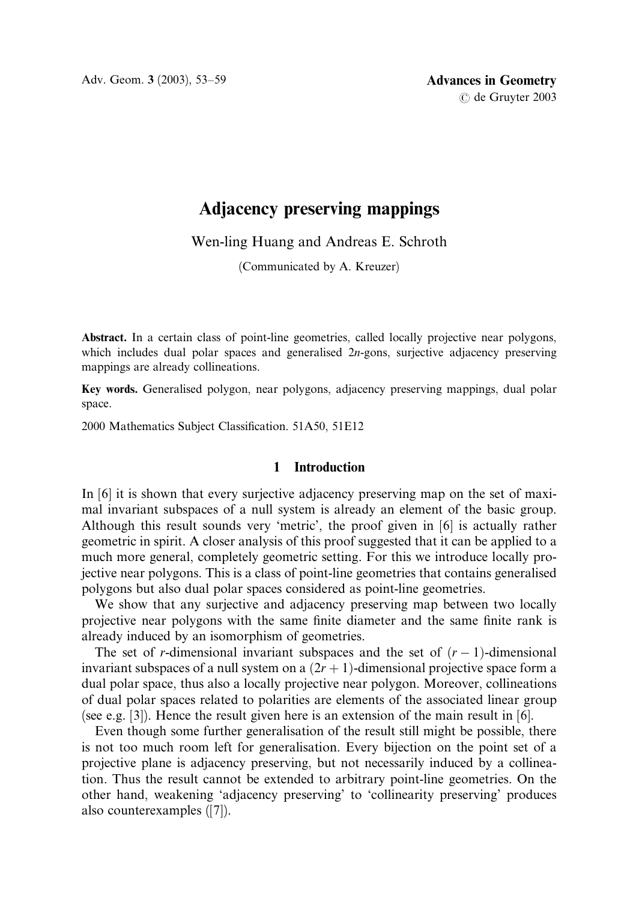Adv. Geom. 3 (2003), 53–59 **Advances in Geometry** 

# Adjacency preserving mappings

Wen-ling Huang and Andreas E. Schroth

(Communicated by A. Kreuzer)

Abstract. In a certain class of point-line geometries, called locally projective near polygons, which includes dual polar spaces and generalised 2n-gons, surjective adjacency preserving mappings are already collineations.

Key words. Generalised polygon, near polygons, adjacency preserving mappings, dual polar space.

2000 Mathematics Subject Classification. 51A50, 51E12

## 1 Introduction

In [6] it is shown that every surjective adjacency preserving map on the set of maximal invariant subspaces of a null system is already an element of the basic group. Although this result sounds very 'metric', the proof given in [6] is actually rather geometric in spirit. A closer analysis of this proof suggested that it can be applied to a much more general, completely geometric setting. For this we introduce locally projective near polygons. This is a class of point-line geometries that contains generalised polygons but also dual polar spaces considered as point-line geometries.

We show that any surjective and adjacency preserving map between two locally projective near polygons with the same finite diameter and the same finite rank is already induced by an isomorphism of geometries.

The set of r-dimensional invariant subspaces and the set of  $(r - 1)$ -dimensional invariant subspaces of a null system on a  $(2r + 1)$ -dimensional projective space form a dual polar space, thus also a locally projective near polygon. Moreover, collineations of dual polar spaces related to polarities are elements of the associated linear group (see e.g. [3]). Hence the result given here is an extension of the main result in [6].

Even though some further generalisation of the result still might be possible, there is not too much room left for generalisation. Every bijection on the point set of a projective plane is adjacency preserving, but not necessarily induced by a collineation. Thus the result cannot be extended to arbitrary point-line geometries. On the other hand, weakening 'adjacency preserving' to 'collinearity preserving' produces also counterexamples ([7]).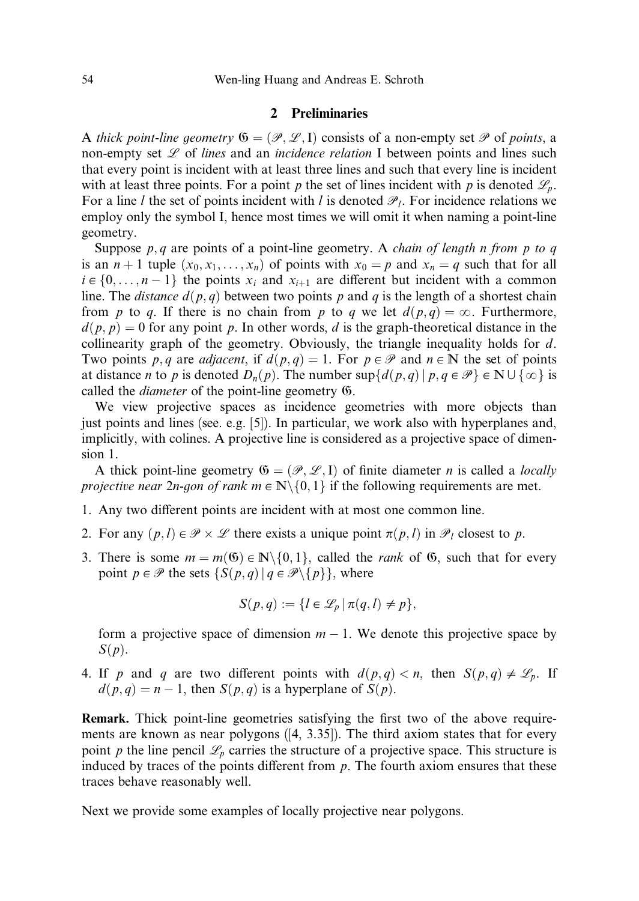## 2 Preliminaries

A thick point-line geometry  $\mathfrak{G} = (\mathcal{P}, \mathcal{L}, I)$  consists of a non-empty set  $\mathcal P$  of points, a non-empty set  $\mathscr L$  of lines and an incidence relation I between points and lines such that every point is incident with at least three lines and such that every line is incident with at least three points. For a point p the set of lines incident with p is denoted  $\mathscr{L}_p$ . For a line l the set of points incident with l is denoted  $\mathcal{P}_l$ . For incidence relations we employ only the symbol I, hence most times we will omit it when naming a point-line geometry.

Suppose  $p, q$  are points of a point-line geometry. A *chain of length n from p to q* is an  $n + 1$  tuple  $(x_0, x_1, \ldots, x_n)$  of points with  $x_0 = p$  and  $x_n = q$  such that for all  $i \in \{0, \ldots, n - 1\}$  the points  $x_i$  and  $x_{i+1}$  are different but incident with a common line. The *distance*  $d(p, q)$  between two points p and q is the length of a shortest chain from p to q. If there is no chain from p to q we let  $d(p,q) = \infty$ . Furthermore,  $d(p, p) = 0$  for any point p. In other words, d is the graph-theoretical distance in the collinearity graph of the geometry. Obviously, the triangle inequality holds for  $d$ . Two points p, q are adjacent, if  $d(p,q) = 1$ . For  $p \in \mathcal{P}$  and  $n \in \mathbb{N}$  the set of points at distance *n* to *p* is denoted  $D_n(p)$ . The number  $\sup\{d(p,q) | p,q \in \mathcal{P}\}\in \mathbb{N}\cup\{\infty\}$  is called the diameter of the point-line geometry G.

We view projective spaces as incidence geometries with more objects than just points and lines (see. e.g. [5]). In particular, we work also with hyperplanes and, implicitly, with colines. A projective line is considered as a projective space of dimension 1.

A thick point-line geometry  $\mathfrak{G} = (\mathcal{P}, \mathcal{L}, I)$  of finite diameter *n* is called a *locally* projective near 2n-gon of rank  $m \in \mathbb{N} \setminus \{0, 1\}$  if the following requirements are met.

- 1. Any two different points are incident with at most one common line.
- 2. For any  $(p, l) \in \mathcal{P} \times \mathcal{L}$  there exists a unique point  $\pi(p, l)$  in  $\mathcal{P}_l$  closest to p.
- 3. There is some  $m = m(6) \in \mathbb{N} \setminus \{0, 1\}$ , called the *rank* of 6, such that for every point  $p \in \mathcal{P}$  the sets  $\{S(p, q) | q \in \mathcal{P} \setminus \{p\}\}\)$ , where

$$
S(p,q) := \{l \in \mathcal{L}_p \mid \pi(q,l) \neq p\},\
$$

form a projective space of dimension  $m - 1$ . We denote this projective space by  $S(p)$ .

4. If p and q are two different points with  $d(p,q) < n$ , then  $S(p,q) \neq \mathcal{L}_p$ . If  $d(p, q) = n - 1$ , then  $S(p, q)$  is a hyperplane of  $S(p)$ .

Remark. Thick point-line geometries satisfying the first two of the above requirements are known as near polygons ([4, 3.35]). The third axiom states that for every point p the line pencil  $\mathcal{L}_p$  carries the structure of a projective space. This structure is induced by traces of the points different from  $p$ . The fourth axiom ensures that these traces behave reasonably well.

Next we provide some examples of locally projective near polygons.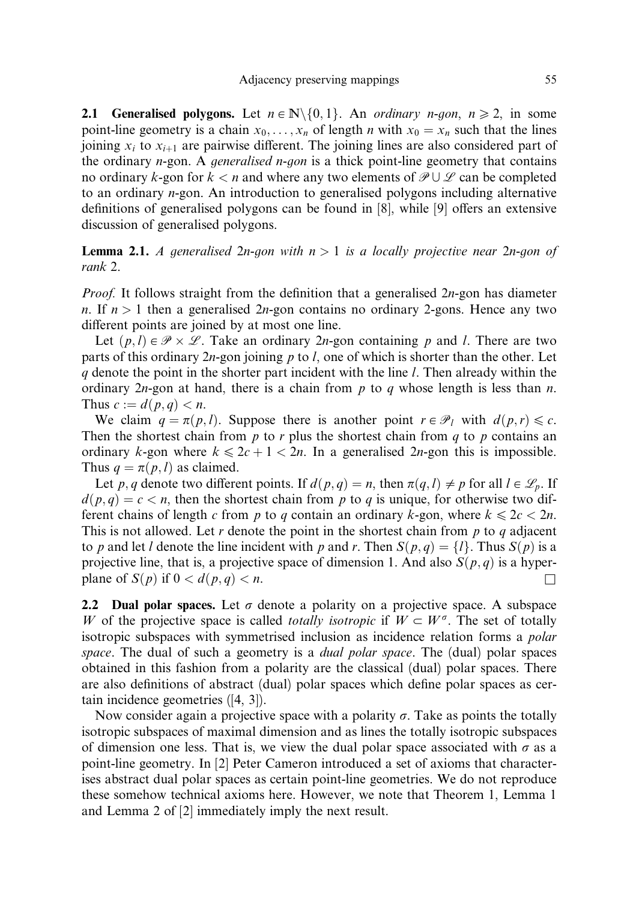**2.1 Generalised polygons.** Let  $n \in \mathbb{N} \setminus \{0, 1\}$ . An ordinary n-gon,  $n \ge 2$ , in some point-line geometry is a chain  $x_0, \ldots, x_n$  of length n with  $x_0 = x_n$  such that the lines joining  $x_i$  to  $x_{i+1}$  are pairwise different. The joining lines are also considered part of the ordinary  $n$ -gon. A *generalised n-gon* is a thick point-line geometry that contains no ordinary k-gon for  $k < n$  and where any two elements of  $\mathcal{P} \cup \mathcal{L}$  can be completed to an ordinary n-gon. An introduction to generalised polygons including alternative definitions of generalised polygons can be found in  $[8]$ , while  $[9]$  offers an extensive discussion of generalised polygons.

**Lemma 2.1.** A generalised 2n-gon with  $n > 1$  is a locally projective near 2n-gon of rank 2.

*Proof.* It follows straight from the definition that a generalised  $2n$ -gon has diameter n. If  $n > 1$  then a generalised 2n-gon contains no ordinary 2-gons. Hence any two different points are joined by at most one line.

Let  $(p, l) \in \mathcal{P} \times \mathcal{L}$ . Take an ordinary 2*n*-gon containing p and l. There are two parts of this ordinary  $2n$ -gon joining p to l, one of which is shorter than the other. Let  $q$  denote the point in the shorter part incident with the line l. Then already within the ordinary  $2n$ -gon at hand, there is a chain from p to q whose length is less than n. Thus  $c := d(p, q) < n$ .

We claim  $q = \pi(p, l)$ . Suppose there is another point  $r \in \mathcal{P}_l$  with  $d(p, r) \leq c$ . Then the shortest chain from  $p$  to  $r$  plus the shortest chain from  $q$  to  $p$  contains an ordinary k-gon where  $k \le 2c + 1 < 2n$ . In a generalised 2n-gon this is impossible. Thus  $q = \pi(p, l)$  as claimed.

Let p, q denote two different points. If  $d(p, q) = n$ , then  $\pi(q, l) \neq p$  for all  $l \in \mathcal{L}_p$ . If  $d(p, q) = c < n$ , then the shortest chain from p to q is unique, for otherwise two different chains of length c from p to q contain an ordinary k-gon, where  $k \leq 2c < 2n$ . This is not allowed. Let r denote the point in the shortest chain from  $p$  to  $q$  adjacent to p and let l denote the line incident with p and r. Then  $S(p,q) = \{l\}$ . Thus  $S(p)$  is a projective line, that is, a projective space of dimension 1. And also  $S(p,q)$  is a hyperplane of  $S(p)$  if  $0 < d(p,q) < n$ .

2.2 Dual polar spaces. Let  $\sigma$  denote a polarity on a projective space. A subspace W of the projective space is called *totally isotropic* if  $W \subset W^{\sigma}$ . The set of totally isotropic subspaces with symmetrised inclusion as incidence relation forms a polar space. The dual of such a geometry is a *dual polar space*. The (dual) polar spaces obtained in this fashion from a polarity are the classical (dual) polar spaces. There are also definitions of abstract (dual) polar spaces which define polar spaces as certain incidence geometries ([4, 3]).

Now consider again a projective space with a polarity  $\sigma$ . Take as points the totally isotropic subspaces of maximal dimension and as lines the totally isotropic subspaces of dimension one less. That is, we view the dual polar space associated with  $\sigma$  as a point-line geometry. In [2] Peter Cameron introduced a set of axioms that characterises abstract dual polar spaces as certain point-line geometries. We do not reproduce these somehow technical axioms here. However, we note that Theorem 1, Lemma 1 and Lemma 2 of [2] immediately imply the next result.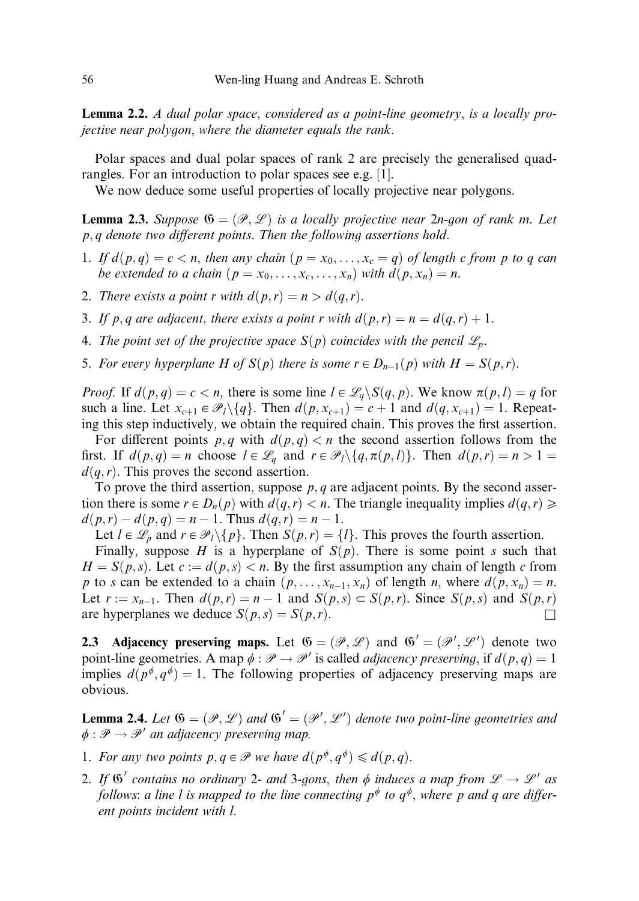Lemma 2.2. A dual polar space, considered as a point-line geometry, is a locally projective near polygon, where the diameter equals the rank.

Polar spaces and dual polar spaces of rank 2 are precisely the generalised quadrangles. For an introduction to polar spaces see e.g. [1].

We now deduce some useful properties of locally projective near polygons.

**Lemma 2.3.** Suppose  $\mathfrak{G} = (\mathcal{P}, \mathcal{L})$  is a locally projective near 2n-gon of rank m. Let  $p, q$  denote two different points. Then the following assertions hold.

- 1. If  $d(p,q) = c < n$ , then any chain  $(p = x_0, \ldots, x_c = q)$  of length c from p to q can be extended to a chain  $(p = x_0, \ldots, x_c, \ldots, x_n)$  with  $d(p, x_n) = n$ .
- 2. There exists a point r with  $d(p, r) = n > d(q, r)$ .
- 3. If p, q are adjacent, there exists a point r with  $d(p,r) = n = d(q,r) + 1$ .
- 4. The point set of the projective space  $S(p)$  coincides with the pencil  $\mathscr{L}_{p}$ .
- 5. For every hyperplane H of  $S(p)$  there is some  $r \in D_{n-1}(p)$  with  $H = S(p,r)$ .

*Proof.* If  $d(p,q) = c < n$ , there is some line  $l \in \mathcal{L}_q \backslash S(q,p)$ . We know  $\pi(p,l) = q$  for such a line. Let  $x_{c+1} \in \mathcal{P}_l \setminus \{q\}$ . Then  $d(p, x_{c+1}) = c + 1$  and  $d(q, x_{c+1}) = 1$ . Repeating this step inductively, we obtain the required chain. This proves the first assertion.

For different points p, q with  $d(p,q) < n$  the second assertion follows from the first. If  $d(p,q) = n$  choose  $l \in \mathcal{L}_q$  and  $r \in \mathcal{P}_l \setminus \{q, \pi(p,l)\}\)$ . Then  $d(p,r) = n > 1$  $d(q, r)$ . This proves the second assertion.

To prove the third assertion, suppose  $p, q$  are adjacent points. By the second assertion there is some  $r \in D_n(p)$  with  $d(q, r) < n$ . The triangle inequality implies  $d(q, r) \geq$  $d(p,r) - d(p,q) = n - 1$ . Thus  $d(q,r) = n - 1$ .

Let  $l \in \mathcal{L}_p$  and  $r \in \mathcal{P}_l \setminus \{p\}$ . Then  $S(p, r) = \{l\}$ . This proves the fourth assertion.

Finally, suppose H is a hyperplane of  $S(p)$ . There is some point s such that  $H = S(p, s)$ . Let  $c := d(p, s) < n$ . By the first assumption any chain of length c from p to s can be extended to a chain  $(p, \ldots, x_{n-1}, x_n)$  of length n, where  $d(p, x_n) = n$ . Let  $r := x_{n-1}$ . Then  $d(p, r) = n - 1$  and  $S(p, s) \subset S(p, r)$ . Since  $S(p, s)$  and  $S(p, r)$ are hyperplanes we deduce  $S(p, s) = S(p, r)$ .

**2.3** Adjacency preserving maps. Let  $\mathfrak{G} = (\mathcal{P}, \mathcal{L})$  and  $\mathfrak{G}' = (\mathcal{P}', \mathcal{L}')$  denote two point-line geometries. A map  $\phi : \mathcal{P} \to \mathcal{P}'$  is called *adjacency preserving*, if  $d(p, q) = 1$ implies  $d(p^{\phi}, q^{\phi}) = 1$ . The following properties of adjacency preserving maps are obvious.

**Lemma 2.4.** Let  $\mathfrak{G} = (\mathcal{P}, \mathcal{L})$  and  $\mathfrak{G}' = (\mathcal{P}', \mathcal{L}')$  denote two point-line geometries and  $\phi : \mathscr{P} \to \mathscr{P}'$  an adjacency preserving map.

- 1. For any two points  $p, q \in \mathcal{P}$  we have  $d(p^{\phi}, q^{\phi}) \leq d(p, q)$ .
- 2. If  $\mathfrak{G}'$  contains no ordinary 2- and 3-gons, then  $\phi$  induces a map from  $\mathscr{L} \to \mathscr{L}'$  as follows: a line l is mapped to the line connecting  $p^{\phi}$  to  $q^{\phi}$ , where p and q are different points incident with l.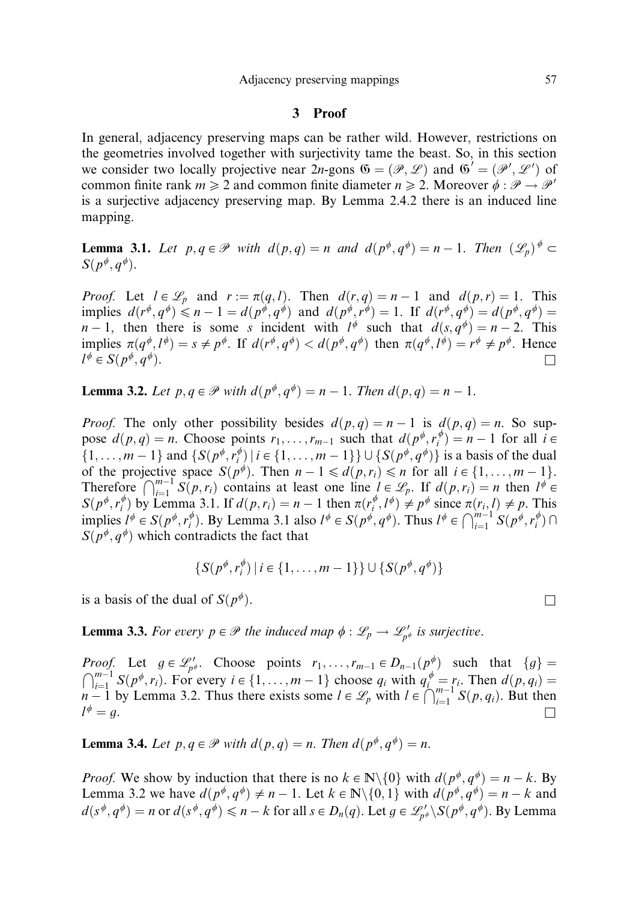#### 3 Proof

In general, adjacency preserving maps can be rather wild. However, restrictions on the geometries involved together with surjectivity tame the beast. So, in this section we consider two locally projective near  $2n$ -gons  $\mathfrak{G} = (\mathcal{P}, \mathcal{L})$  and  $\mathfrak{G}' = (\mathcal{P}', \mathcal{L}')$  of common finite rank  $m \geq 2$  and common finite diameter  $n \geq 2$ . Moreover  $\phi : \mathcal{P} \to \mathcal{P}'$ is a surjective adjacency preserving map. By Lemma 2.4.2 there is an induced line mapping.

**Lemma 3.1.** Let  $p, q \in \mathcal{P}$  with  $d(p,q) = n$  and  $d(p^{\phi}, q^{\phi}) = n - 1$ . Then  $(\mathcal{L}_n)^{\phi} \subset$  $S(p^{\phi}, q^{\phi}).$ 

*Proof.* Let  $l \in \mathcal{L}_p$  and  $r := \pi(q, l)$ . Then  $d(r, q) = n - 1$  and  $d(p, r) = 1$ . This implies  $d(r^{\phi}, q^{\phi}) \leq n - 1 = d(p^{\phi}, q^{\phi})$  and  $d(p^{\phi}, r^{\phi}) = 1$ . If  $d(r^{\phi}, q^{\phi}) = d(p^{\phi}, q^{\phi}) = 1$ .  $n-1$ , then there is some s incident with  $l^{\phi}$  such that  $d(s, q^{\phi}) = n - 2$ . This implies  $\pi(q^{\phi}, l^{\phi}) = s \neq p^{\phi}$ . If  $d(r^{\phi}, q^{\phi}) < d(p^{\phi}, q^{\phi})$  then  $\pi(q^{\phi}, l^{\phi}) = r^{\phi} \neq p^{\phi}$ . Hence  $l^{\phi} \in S(p^{\phi}, q^{\phi}).$ 

**Lemma 3.2.** Let  $p, q \in \mathcal{P}$  with  $d(p^{\phi}, q^{\phi}) = n - 1$ . Then  $d(p, q) = n - 1$ .

*Proof.* The only other possibility besides  $d(p,q) = n - 1$  is  $d(p,q) = n$ . So suppose  $d(p,q) = n$ . Choose points  $r_1, \ldots, r_{m-1}$  such that  $d(p^{\phi}, r_i^{\phi}) = n - 1$  for all  $i \in$  $\{1, \ldots, m-1\}$  and  $\{S(p^{\phi}, r_i^{\phi}) \mid i \in \{1, \ldots, m-1\}\} \cup \{S(p^{\phi}, q^{\phi})\}$  is a basis of the dual of the projective space  $S(p^{\phi})$ . Then  $n - 1 \leq d(p, r_i) \leq n$  for all  $i \in \{1, ..., m - 1\}$ . Therefore  $\bigcap_{i=1}^{m-1} S(p,r_i)$  contains at least one line  $l \in \mathcal{L}_p$ . If  $d(p,r_i) = n$  then  $l^{\phi} \in$  $S(p^{\phi}, r_i^{\phi})$  by Lemma 3.1. If  $d(p, r_i) = n - 1$  then  $\pi(r_i^{\phi}, l^{\phi}) \neq p^{\phi}$  since  $\pi(r_i, l) \neq p$ . This implies  $l^{\phi} \in S(p^{\phi}, r_i^{\phi})$ . By Lemma 3.1 also  $l^{\phi} \in S(p^{\phi}, q^{\phi})$ . Thus  $l^{\phi} \in \bigcap_{i=1}^{m-1} S(p^{\phi}, r_i^{\phi}) \cap$  $S(p^{\phi}, q^{\phi})$  which contradicts the fact that

$$
\{S(p^{\phi}, r_i^{\phi}) \mid i \in \{1, \ldots, m-1\}\} \cup \{S(p^{\phi}, q^{\phi})\}
$$

is a basis of the dual of  $S(p^{\phi})$ .

**Lemma 3.3.** For every  $p \in \mathcal{P}$  the induced map  $\phi : \mathcal{L}_p \to \mathcal{L}_{p\phi}$  is surjective.

*Proof.* Let  $g \in \mathcal{L}_{p^{\phi}}'$ . Choose points  $r_1, \ldots, r_{m-1} \in D_{n-1}(p^{\phi})$  such that  $\{g\} =$  $\bigcap_{i=1}^{m-1} S(p^{\phi}, r_i)$ . For every  $i \in \{1, \ldots, m-1\}$  choose  $q_i$  with  $q_i^{\phi} = r_i$ . Then  $d(p, q_i) =$  $n-1$  by Lemma 3.2. Thus there exists some  $l \in \mathcal{L}_p$  with  $l \in \bigcap_{i=1}^{m-1} S(p, q_i)$ . But then  $l^{\phi}=g.$ 

**Lemma 3.4.** Let  $p, q \in \mathcal{P}$  with  $d(p, q) = n$ . Then  $d(p^{\phi}, q^{\phi}) = n$ .

*Proof.* We show by induction that there is no  $k \in \mathbb{N} \setminus \{0\}$  with  $d(p^{\phi}, q^{\phi}) = n - k$ . By Lemma 3.2 we have  $d(p^{\phi}, q^{\phi}) \neq n - 1$ . Let  $k \in \mathbb{N} \setminus \{0, 1\}$  with  $d(p^{\phi}, q^{\phi}) = n - k$  and  $d(s^{\phi}, q^{\phi}) = n$  or  $d(s^{\phi}, q^{\phi}) \leq n - k$  for all  $s \in D_n(q)$ . Let  $g \in \mathscr{L}'_{p^{\phi}} \backslash S(p^{\phi}, q^{\phi})$ . By Lemma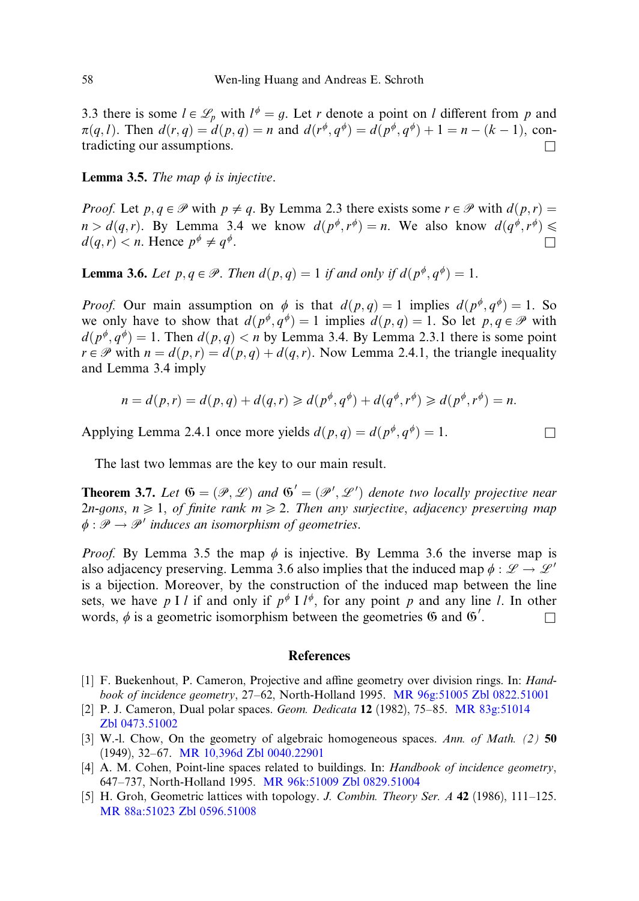3.3 there is some  $l \in \mathcal{L}_p$  with  $l^{\phi} = q$ . Let r denote a point on l different from p and  $\pi(q, l)$ . Then  $d(r, q) = d(p, q) = n$  and  $d(r^{\phi}, q^{\phi}) = d(p^{\phi}, q^{\phi}) + 1 = n - (k - 1)$ , contradicting our assumptions.  $\Box$ 

**Lemma 3.5.** The map  $\phi$  is injective.

*Proof.* Let  $p, q \in \mathcal{P}$  with  $p \neq q$ . By Lemma 2.3 there exists some  $r \in \mathcal{P}$  with  $d(p, r) =$  $n > d(q, r)$ . By Lemma 3.4 we know  $d(p^{\phi}, r^{\phi}) = n$ . We also know  $d(q^{\phi}, r^{\phi}) \leq$  $d(q, r) < n$ . Hence  $p^{\phi} \neq q^{\phi}$ .

**Lemma 3.6.** Let  $p, q \in \mathcal{P}$ . Then  $d(p,q) = 1$  if and only if  $d(p^{\phi}, q^{\phi}) = 1$ .

*Proof.* Our main assumption on  $\phi$  is that  $d(p,q) = 1$  implies  $d(p^{\phi}, q^{\phi}) = 1$ . So we only have to show that  $d(p^{\phi}, q^{\phi}) = 1$  implies  $d(p, q) = 1$ . So let  $p, q \in \mathcal{P}$  with  $d(p^{\phi}, q^{\phi}) = 1$ . Then  $d(p, q) < n$  by Lemma 3.4. By Lemma 2.3.1 there is some point  $r \in \mathcal{P}$  with  $n = d(p,r) = d(p,q) + d(q,r)$ . Now Lemma 2.4.1, the triangle inequality and Lemma 3.4 imply

$$
n = d(p,r) = d(p,q) + d(q,r) \ge d(p^{\phi}, q^{\phi}) + d(q^{\phi}, r^{\phi}) \ge d(p^{\phi}, r^{\phi}) = n.
$$

Applying Lemma 2.4.1 once more yields  $d(p, q) = d(p^{\phi}, q^{\phi}) = 1$ .

The last two lemmas are the key to our main result.

**Theorem 3.7.** Let  $\mathfrak{G} = (\mathcal{P}, \mathcal{L})$  and  $\mathfrak{G}' = (\mathcal{P}', \mathcal{L}')$  denote two locally projective near 2n-gons,  $n \geq 1$ , of finite rank  $m \geq 2$ . Then any surjective, adjacency preserving map  $\phi : \mathcal{P} \to \mathcal{P}'$  induces an isomorphism of geometries.

*Proof.* By Lemma 3.5 the map  $\phi$  is injective. By Lemma 3.6 the inverse map is also adjacency preserving. Lemma 3.6 also implies that the induced map  $\phi : \mathscr{L} \to \mathscr{L}'$ is a bijection. Moreover, by the construction of the induced map between the line sets, we have p I l if and only if  $p^{\phi}$  I  $l^{\phi}$ , for any point p and any line l. In other words,  $\phi$  is a geometric isomorphism between the geometries  $\mathfrak{G}$  and  $\mathfrak{G}'$ .  $\Box$ 

### References

- [1] F. Buekenhout, P. Cameron, Projective and affine geometry over division rings. In: *Hand*book of incidence geometry, 27–62, North-Holland 1995. [MR 96g:51005](http://www.ams.org/mathscinet-getitem?mr=96g:51005) [Zbl 0822.51001](http://www.emis.de/MATH-item?0822.51001)
- [2] P. J. Cameron, Dual polar spaces. Geom. Dedicata 12 (1982), 75–85. [MR 83g:51014](http://www.ams.org/mathscinet-getitem?mr=83g:51014) [Zbl 0473.51002](http://www.emis.de/MATH-item?0473.51002)
- [3] W.-l. Chow, On the geometry of algebraic homogeneous spaces. Ann. of Math. (2) 50 (1949), 32–67. [MR 10,396d](http://www.ams.org/mathscinet-getitem?mr=10,396d) [Zbl 0040.22901](http://www.emis.de/MATH-item?0040.22901)
- [4] A. M. Cohen, Point-line spaces related to buildings. In: *Handbook of incidence geometry*, 647–737, North-Holland 1995. [MR 96k:51009](http://www.ams.org/mathscinet-getitem?mr=96k:51009) [Zbl 0829.51004](http://www.emis.de/MATH-item?0829.51004)
- [5] H. Groh, Geometric lattices with topology. J. Combin. Theory Ser. A 42 (1986), 111–125. [MR 88a:51023](http://www.ams.org/mathscinet-getitem?mr=88a:51023) [Zbl 0596.51008](http://www.emis.de/MATH-item?0596.51008)

$$
\Box
$$